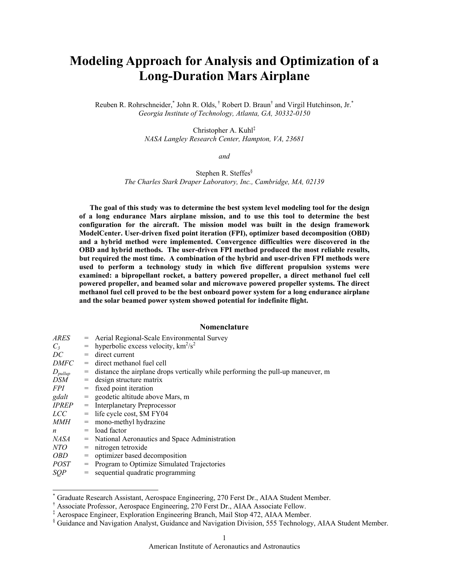# **Modeling Approach for Analysis and Optimization of a Long-Duration Mars Airplane**

Reuben R. Rohrschneider[,\\*](#page-0-2) John R. Olds,<sup>†</sup> Robert D. Braun<sup>†</sup> and Virgil Hutchinson, Jr[.\\*](#page-0-1) *Georgia Institute of Technology, Atlanta, GA, 30332-0150* 

> <span id="page-0-1"></span>Christopher A. Kuhl [‡](#page-0-4) *NASA Langley Research Center, Hampton, VA, 23681*

> > <span id="page-0-0"></span>*and*

Stephen R. Steffe[s§](#page-0-5) *The Charles Stark Draper Laboratory, Inc., Cambridge, MA, 02139* 

**The goal of this study was to determine the best system level modeling tool for the design of a long endurance Mars airplane mission, and to use this tool to determine the best configuration for the aircraft. The mission model was built in the design framework ModelCenter. User-driven fixed point iteration (FPI), optimizer based decomposition (OBD) and a hybrid method were implemented. Convergence difficulties were discovered in the OBD and hybrid methods. The user-driven FPI method produced the most reliable results, but required the most time. A combination of the hybrid and user-driven FPI methods were used to perform a technology study in which five different propulsion systems were examined: a bipropellant rocket, a battery powered propeller, a direct methanol fuel cell powered propeller, and beamed solar and microwave powered propeller systems. The direct methanol fuel cell proved to be the best onboard power system for a long endurance airplane and the solar beamed power system showed potential for indefinite flight.** 

## **Nomenclature**

| ARES         |     | = Aerial Regional-Scale Environmental Survey                                        |
|--------------|-----|-------------------------------------------------------------------------------------|
| $C_3$        |     | = hyperbolic excess velocity, $km^2/s^2$                                            |
| DC           |     | direct current                                                                      |
| <i>DMFC</i>  |     | $=$ direct methanol fuel cell                                                       |
| $D_{pullup}$ |     | $=$ distance the airplane drops vertically while performing the pull-up maneuver, m |
| DSM          |     | $=$ design structure matrix                                                         |
| FPI          |     | $=$ fixed point iteration                                                           |
| gdalt        |     | = geodetic altitude above Mars, m                                                   |
| IPREP        |     | = Interplanetary Preprocessor                                                       |
| LCC          |     | $=$ life cycle cost, \$M FY04                                                       |
| MMH          |     | = mono-methyl hydrazine                                                             |
| n            |     | load factor                                                                         |
| <i>NASA</i>  |     | = National Aeronautics and Space Administration                                     |
| NTO          | $=$ | nitrogen tetroxide                                                                  |
| <i>OBD</i>   |     | = optimizer based decomposition                                                     |
| POST         |     | = Program to Optimize Simulated Trajectories                                        |
| SOP          |     | $=$ sequential quadratic programming                                                |

<span id="page-0-2"></span> <sup>\*</sup> Graduate Research Assistant, Aerospace Engineering, 270 Ferst Dr., AIAA Student Member.

<span id="page-0-3"></span><sup>†</sup> Associate Professor, Aerospace Engineering, 270 Ferst Dr., AIAA Associate Fellow.

<span id="page-0-4"></span><sup>‡</sup> Aerospace Engineer, Exploration Engineering Branch, Mail Stop 472, AIAA Member.

<span id="page-0-5"></span><sup>§</sup> Guidance and Navigation Analyst, Guidance and Navigation Division, 555 Technology, AIAA Student Member.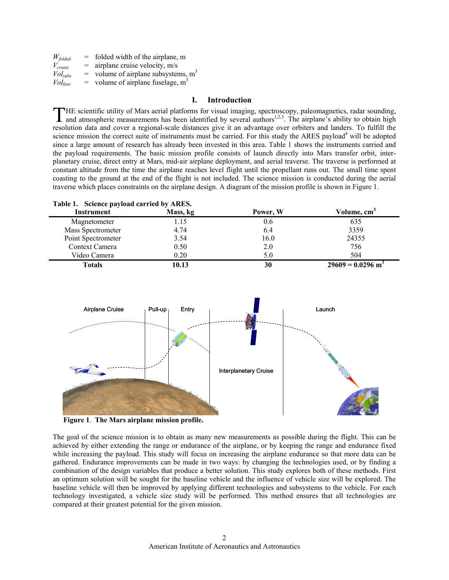| $W_{folded}$        |     | $=$ folded width of the airplane, m   |
|---------------------|-----|---------------------------------------|
| $V_{cruise}$        |     | $=$ airplane cruise velocity, m/s     |
| $Vol_{subs}$        |     | = volume of airplane subsystems, $m3$ |
| $Vol_{\text{fuse}}$ | $=$ | volume of airplane fuselage, $m3$     |

## **I. Introduction**

THE scientific utility of Mars aerial platforms for visual imaging, spectroscopy, paleomagnetics, radar sounding, and atmospheric measurements has been identified by several authors<sup>1,2,3</sup>. The airplane's ability to obtain andatmospheric measurements has been identified by several authors<sup>1,2,3</sup>. [Th](#page-13-2)e airplane's ability to obtain high resolution data and cover a regional-scale distances give it an advantage over orbiters and landers. To fulfill the science mission the correct suite of instruments must be carried. For this study the ARES payload<sup>[4](#page-13-3)</sup> will be adopted since a large amount of research has already been invested in this area. Table 1 shows the instruments carried and the payload requirements. The basic mission profile consists of launch directly into Mars transfer orbit, interplanetary cruise, direct entry at Mars, mid-air airplane deployment, and aerial traverse. The traverse is performed at constant altitude from the time the airplane reaches level flight until the propellant runs out. The small time spent coasting to the ground at the end of the flight is not included. The science mission is conducted during the aerial traverse which places constraints on the airplane design. A diagram of the mission profile is shown in Figure 1.

| Table 1. Science payload carried by ARES. |          |          |                                 |
|-------------------------------------------|----------|----------|---------------------------------|
| Instrument                                | Mass, kg | Power, W | Volume, cm <sup>3</sup>         |
| Magnetometer                              | 1.15     | 0.6      | 635                             |
| Mass Spectrometer                         | 4.74     | 6.4      | 3359                            |
| Point Spectrometer                        | 3.54     | 16.0     | 24355                           |
| Context Camera                            | 0.50     | 2.0      | 756                             |
| Video Camera                              | 0.20     | 5.0      | 504                             |
| <b>Totals</b>                             | 10.13    | 30       | $29609 = 0.0296$ m <sup>3</sup> |



 **Figure 1**. **The Mars airplane mission profile.**

The goal of the science mission is to obtain as many new measurements as possible during the flight. This can be achieved by either extending the range or endurance of the airplane, or by keeping the range and endurance fixed while increasing the payload. This study will focus on increasing the airplane endurance so that more data can be gathered. Endurance improvements can be made in two ways: by changing the technologies used, or by finding a combination of the design variables that produce a better solution. This study explores both of these methods. First an optimum solution will be sought for the baseline vehicle and the influence of vehicle size will be explored. The baseline vehicle will then be improved by applying different technologies and subsystems to the vehicle. For each technology investigated, a vehicle size study will be performed. This method ensures that all technologies are compared at their greatest potential for the given mission.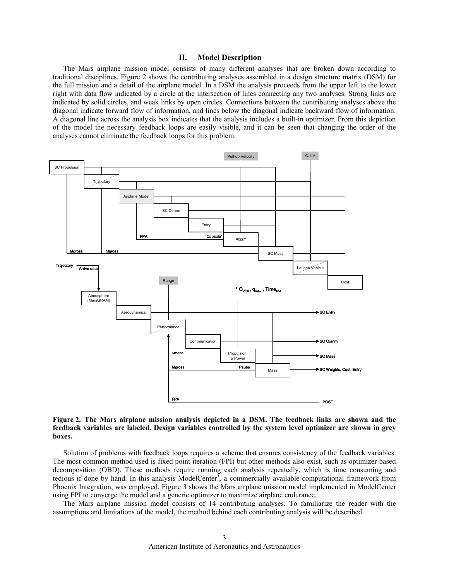#### **II. Model Description**

The Mars airplane mission model consists of many different analyses that are broken down according to traditional disciplines. Figure 2 shows the contributing analyses assembled in a design structure matrix (DSM) for the full mission and a detail of the airplane model. In a DSM the analysis proceeds from the upper left to the lower right with data flow indicated by a circle at the intersection of lines connecting any two analyses. Strong links are indicated by solid circles, and weak links by open circles. Connections between the contributing analyses above the diagonal indicate forward flow of information, and lines below the diagonal indicate backward flow of information. A diagonal line across the analysis box indicates that the analysis includes a built-in optimizer. From this depiction of the model the necessary feedback loops are easily visible, and it can be seen that changing the order of the analyses cannot eliminate the feedback loops for this problem.



**Figure 2. The Mars airplane mission analysis depicted in a DSM. The feedback links are shown and the feedback variables are labeled. Design variables controlled by the system level optimizer are shown in grey boxes.** 

Solution of problems with feedback loops requires a scheme that ensures consistency of the feedback variables. The most common method used is fixed point iteration (FPI) but other methods also exist, such as optimizer based decomposition (OBD). These methods require running each analysis repeatedly, which is time consuming and tedious if done by hand. In this analysis ModelCenter<sup>[5](#page-13-4)</sup>, a commercially available computational framework from Phoenix Integration, was employed. Figure 3 shows the Mars airplane mission model implemented in ModelCenter using FPI to converge the model and a generic optimizer to maximize airplane endurance.

The Mars airplane mission model consists of 14 contributing analyses. To familiarize the reader with the assumptions and limitations of the model, the method behind each contributing analysis will be described.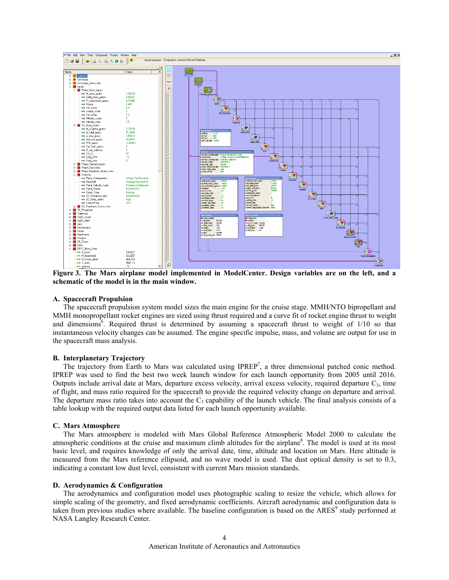

**Figure 3. The Mars airplane model implemented in ModelCenter. Design variables are on the left, and a schematic of the model is in the main window.** 

#### **A. Spacecraft Propulsion**

The spacecraft propulsion system model sizes the main engine for the cruise stage. MMH/NTO bipropellant and MMH monopropellant rocket engines are sized using thrust required and a curve fit of rocket engine thrust to weight and dimensions<sup>6</sup>. Required thrust is determined by assuming a spacecraft thrust to weight of 1/10 so that instantaneous velocity changes can be assumed. The engine specific impulse, mass, and volume are output for use in the spacecraft mass analysis.

#### **B. Interplanetary Trajectory**

The trajectory from Earth to Mars was calculated using IPREP<sup>7</sup>, a three dimensional patched conic method. IPREP was used to find the best two week launch window for each launch opportunity from 2005 until 2016. Outputs include arrival date at Mars, departure excess velocity, arrival excess velocity, required departure  $C_3$ , time of flight, and mass ratio required for the spacecraft to provide the required velocity change on departure and arrival. The departure mass ratio takes into account the  $C_3$  capability of the launch vehicle. The final analysis consists of a table lookup with the required output data listed for each launch opportunity available.

#### **C. Mars Atmosphere**

The Mars atmosphere is modeled with Mars Global Reference Atmospheric Model 2000 to calculate the atmospheric conditions at the cruise and maximum climb altitudes for the airplane<sup>8</sup>[.](#page-13-7) The model is used at its most basic level, and requires knowledge of only the arrival date, time, altitude and location on Mars. Here altitude is measured from the Mars reference ellipsoid, and no wave model is used. The dust optical density is set to 0.3, indicating a constant low dust level, consistent with current Mars mission standards.

## **D. Aerodynamics & Configuration**

The aerodynamics and configuration model uses photographic scaling to resize the vehicle, which allows for simple scaling of the geometry, and fixed aerodynamic coefficients. Aircraft aerodynamic and configuration data is taken from previous studies where available. The baseline configuration is based on the ARES<sup>9</sup> study performed at NASA Langley Research Center.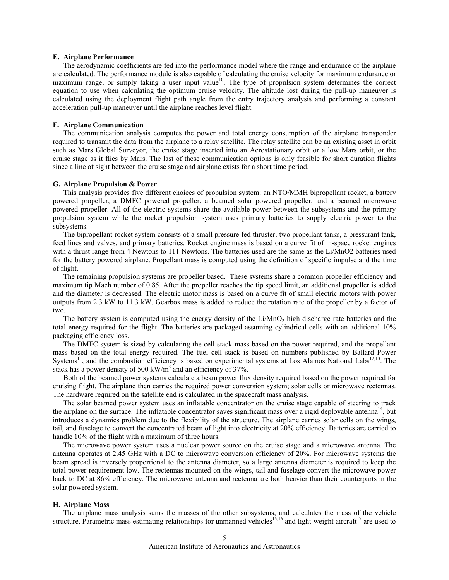#### **E. Airplane Performance**

The aerodynamic coefficients are fed into the performance model where the range and endurance of the airplane are calculated. The performance module is also capable of calculating the cruise velocity for maximum endurance or maximum range, or simply taking a user input value<sup>10</sup>. The type of propulsion system determines the correct equation to use when calculating the optimum cruise velocity. The altitude lost during the pull-up maneuver is calculated using the deployment flight path angle from the entry trajectory analysis and performing a constant acceleration pull-up maneuver until the airplane reaches level flight.

#### **F. Airplane Communication**

The communication analysis computes the power and total energy consumption of the airplane transponder required to transmit the data from the airplane to a relay satellite. The relay satellite can be an existing asset in orbit such as Mars Global Surveyor, the cruise stage inserted into an Aerostationary orbit or a low Mars orbit, or the cruise stage as it flies by Mars. The last of these communication options is only feasible for short duration flights since a line of sight between the cruise stage and airplane exists for a short time period.

#### **G. Airplane Propulsion & Power**

This analysis provides five different choices of propulsion system: an NTO/MMH bipropellant rocket, a battery powered propeller, a DMFC powered propeller, a beamed solar powered propeller, and a beamed microwave powered propeller. All of the electric systems share the available power between the subsystems and the primary propulsion system while the rocket propulsion system uses primary batteries to supply electric power to the subsystems.

The bipropellant rocket system consists of a small pressure fed thruster, two propellant tanks, a pressurant tank, feed lines and valves, and primary batteries. Rocket engine mass is based on a curve fit of in-space rocket engines with a thrust range from 4 Newtons to 111 Newtons. The batteries used are the same as the Li/MnO2 batteries used for the battery powered airplane. Propellant mass is computed using the definition of specific impulse and the time of flight.

The remaining propulsion systems are propeller based. These systems share a common propeller efficiency and maximum tip Mach number of 0.85. After the propeller reaches the tip speed limit, an additional propeller is added and the diameter is decreased. The electric motor mass is based on a curve fit of small electric motors with power outputs from 2.3 kW to 11.3 kW. Gearbox mass is added to reduce the rotation rate of the propeller by a factor of two.

The battery system is computed using the energy density of the Li/MnO<sub>2</sub> high discharge rate batteries and the total energy required for the flight. The batteries are packaged assuming cylindrical cells with an additional 10% packaging efficiency loss.

The DMFC system is sized by calculating the cell stack mass based on the power required, and the propellant mass based on the total energy required. The fuel cell stack is based on numbers published by Ballard Power Systems<sup>11</sup>, and the combustion efficiency is based on experimental systems at Los Alamos National Labs<sup>[12,1](#page-13-11)3</sup>. The stack has a power density of 500 kW/ $m<sup>3</sup>$  and an efficiency of 37%.

Both of the beamed power systems calculate a beam power flux density required based on the power required for cruising flight. The airplane then carries the required power conversion system; solar cells or microwave rectennas. The hardware required on the satellite end is calculated in the spacecraft mass analysis.

<span id="page-4-0"></span>The solar beamed power system uses an inflatable concentrator on the cruise stage capable of steering to track the airplane on the surface. The inflatable concentrator saves significant mass over a rigid deployable antenna<sup>14</sup>, but introduces a dynamics problem due to the flexibility of the structure. The airplane carries solar cells on the wings, tail, and fuselage to convert the concentrated beam of light into electricity at 20% efficiency. Batteries are carried to handle 10% of the flight with a maximum of three hours.

The microwave power system uses a nuclear power source on the cruise stage and a microwave antenna. The antenna operates at 2.45 GHz with a DC to microwave conversion efficiency of 20%. For microwave systems the beam spread is inversely proportional to the antenna diameter, so a large antenna diameter is required to keep the total power requirement low. The rectennas mounted on the wings, tail and fuselage convert the microwave power back to DC at 86% efficiency. The microwave antenna and rectenna are both heavier than their counterparts in the solar powered system.

#### **H. Airplane Mass**

The airplane mass analysis sums the masses of the other subsystems, and calculates the mass of the vehicle structure. Parametric mass estimating relationships for unmanned vehicles<sup>15,16</sup> and light-weight aircraft<sup>17</sup> are used to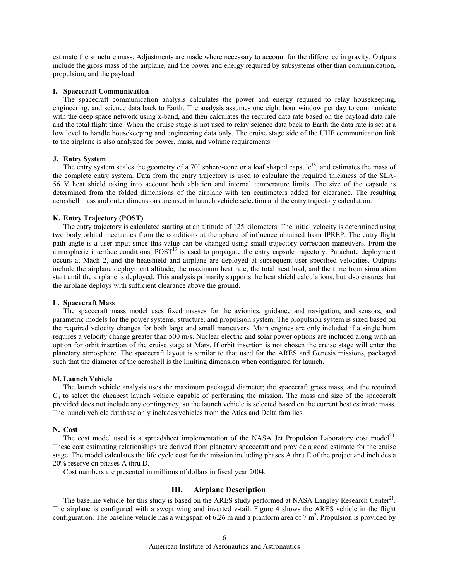estimate the structure mass. Adjustments are made where necessary to account for the difference in gravity. Outputs include the gross mass of the airplane, and the power and energy required by subsystems other than communication, propulsion, and the payload.

#### **I. Spacecraft Communication**

The spacecraft communication analysis calculates the power and energy required to relay housekeeping, engineering, and science data back to Earth. The analysis assumes one eight hour window per day to communicate with the deep space network using x-band, and then calculates the required data rate based on the payload data rate and the total flight time. When the cruise stage is not used to relay science data back to Earth the data rate is set at a low level to handle housekeeping and engineering data only. The cruise stage side of the UHF communication link to the airplane is also analyzed for power, mass, and volume requirements.

#### **J. Entry System**

The entry system scales the geometry of a 70° sphere-cone or a loaf shaped capsule<sup>18</sup>, and estimates the mass of the complete entry system. Data from the entry trajectory is used to calculate the required thickness of the SLA-561V heat shield taking into account both ablation and internal temperature limits. The size of the capsule is determined from the folded dimensions of the airplane with ten centimeters added for clearance. The resulting aeroshell mass and outer dimensions are used in launch vehicle selection and the entry trajectory calculation.

## **K. Entry Trajectory (POST)**

The entry trajectory is calculated starting at an altitude of 125 kilometers. The initial velocity is determined using two body orbital mechanics from the conditions at the sphere of influence obtained from IPREP. The entry flight path angle is a user input since this value can be changed using small trajectory correction maneuvers. From the atmospheric interface conditions, POST<sup>19</sup> is used to propagate the entry capsule trajectory. Parachute deployment occurs at Mach 2, and the heatshield and airplane are deployed at subsequent user specified velocities. Outputs include the airplane deployment altitude, the maximum heat rate, the total heat load, and the time from simulation start until the airplane is deployed. This analysis primarily supports the heat shield calculations, but also ensures that the airplane deploys with sufficient clearance above the ground.

#### **L. Spacecraft Mass**

The spacecraft mass model uses fixed masses for the avionics, guidance and navigation, and sensors, and parametric models for the power systems, structure, and propulsion system. The propulsion system is sized based on the required velocity changes for both large and small maneuvers. Main engines are only included if a single burn requires a velocity change greater than 500 m/s. Nuclear electric and solar power options are included along with an option for orbit insertion of the cruise stage at Mars. If orbit insertion is not chosen the cruise stage will enter the planetary atmosphere. The spacecraft layout is similar to that used for the ARES and Genesis missions, packaged such that the diameter of the aeroshell is the limiting dimension when configured for launch.

#### **M. Launch Vehicle**

The launch vehicle analysis uses the maximum packaged diameter; the spacecraft gross mass, and the required  $C_3$  to select the cheapest launch vehicle capable of performing the mission. The mass and size of the spacecraft provided does not include any contingency, so the launch vehicle is selected based on the current best estimate mass. The launch vehicle database only includes vehicles from the Atlas and Delta families.

#### **N. Cost**

The cost model used is a spreadsheet implementation of the NASA Jet Propulsion Laboratory cost model<sup>20</sup>. These cost estimating relationships are derived from planetary spacecraft and provide a good estimate for the cruise stage. The model calculates the life cycle cost for the mission including phases A thru E of the project and includes a 20% reserve on phases A thru D.

Cost numbers are presented in millions of dollars in fiscal year 2004.

## **III. Airplane Description**

The baseline vehicle for this study is based on the ARES study performed at NASA Langley Research Center<sup>21</sup>. The airplane is configured with a swept wing and inverted v-tail. Figure 4 shows the ARES vehicle in the flight configuration. The baseline vehicle has a wingspan of 6.26 m and a planform area of 7  $m^2$ . Propulsion is provided by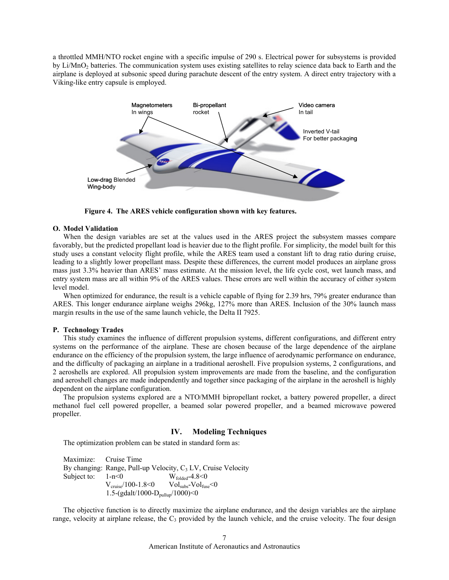a throttled MMH/NTO rocket engine with a specific impulse of 290 s. Electrical power for subsystems is provided by Li/MnO<sub>2</sub> batteries. The communication system uses existing satellites to relay science data back to Earth and the airplane is deployed at subsonic speed during parachute descent of the entry system. A direct entry trajectory with a Viking-like entry capsule is employed.



**Figure 4. The ARES vehicle configuration shown with key features.** 

#### **O. Model Validation**

When the design variables are set at the values used in the ARES project the subsystem masses compare favorably, but the predicted propellant load is heavier due to the flight profile. For simplicity, the model built for this study uses a constant velocity flight profile, while the ARES team used a constant lift to drag ratio during cruise, leading to a slightly lower propellant mass. Despite these differences, the current model produces an airplane gross mass just 3.3% heavier than ARES' mass estimate. At the mission level, the life cycle cost, wet launch mass, and entry system mass are all within 9% of the ARES values. These errors are well within the accuracy of either system level model.

When optimized for endurance, the result is a vehicle capable of flying for 2.39 hrs, 79% greater endurance than ARES. This longer endurance airplane weighs 296kg, 127% more than ARES. Inclusion of the 30% launch mass margin results in the use of the same launch vehicle, the Delta II 7925.

## **P. Technology Trades**

This study examines the influence of different propulsion systems, different configurations, and different entry systems on the performance of the airplane. These are chosen because of the large dependence of the airplane endurance on the efficiency of the propulsion system, the large influence of aerodynamic performance on endurance, and the difficulty of packaging an airplane in a traditional aeroshell. Five propulsion systems, 2 configurations, and 2 aeroshells are explored. All propulsion system improvements are made from the baseline, and the configuration and aeroshell changes are made independently and together since packaging of the airplane in the aeroshell is highly dependent on the airplane configuration.

The propulsion systems explored are a NTO/MMH bipropellant rocket, a battery powered propeller, a direct methanol fuel cell powered propeller, a beamed solar powered propeller, and a beamed microwave powered propeller.

## **IV. Modeling Techniques**

The optimization problem can be stated in standard form as:

Maximize: Cruise Time By changing: Range, Pull-up Velocity,  $C_3$  LV, Cruise Velocity<br>Subject to:  $1-n<0$  W<sub>folded</sub>-4.8<0  $W_{\text{folded}}$ -4.8<0  $V_{\text{cruise}}/100-1.8<0$   $Vol_{\text{subs}}$ - $Vol_{\text{fuse}}<0$ 1.5-(gdalt/1000-Dpullup/1000)<0

The objective function is to directly maximize the airplane endurance, and the design variables are the airplane range, velocity at airplane release, the  $C_3$  provided by the launch vehicle, and the cruise velocity. The four design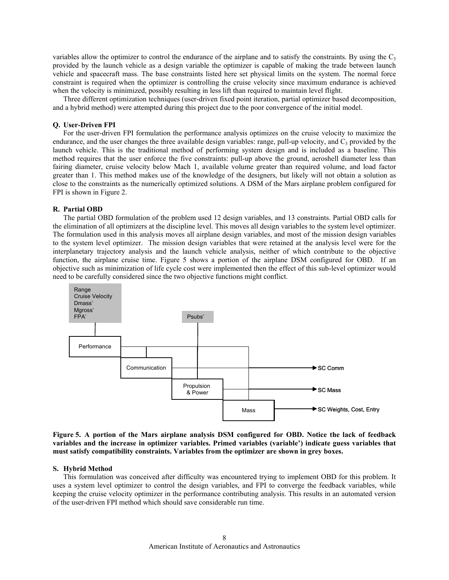variables allow the optimizer to control the endurance of the airplane and to satisfy the constraints. By using the  $C_3$ provided by the launch vehicle as a design variable the optimizer is capable of making the trade between launch vehicle and spacecraft mass. The base constraints listed here set physical limits on the system. The normal force constraint is required when the optimizer is controlling the cruise velocity since maximum endurance is achieved when the velocity is minimized, possibly resulting in less lift than required to maintain level flight.

Three different optimization techniques (user-driven fixed point iteration, partial optimizer based decomposition, and a hybrid method) were attempted during this project due to the poor convergence of the initial model.

#### **Q. User-Driven FPI**

For the user-driven FPI formulation the performance analysis optimizes on the cruise velocity to maximize the endurance, and the user changes the three available design variables: range, pull-up velocity, and  $C_3$  provided by the launch vehicle. This is the traditional method of performing system design and is included as a baseline. This method requires that the user enforce the five constraints: pull-up above the ground, aeroshell diameter less than fairing diameter, cruise velocity below Mach 1, available volume greater than required volume, and load factor greater than 1. This method makes use of the knowledge of the designers, but likely will not obtain a solution as close to the constraints as the numerically optimized solutions. A DSM of the Mars airplane problem configured for FPI is shown in Figure 2.

## **R. Partial OBD**

The partial OBD formulation of the problem used 12 design variables, and 13 constraints. Partial OBD calls for the elimination of all optimizers at the discipline level. This moves all design variables to the system level optimizer. The formulation used in this analysis moves all airplane design variables, and most of the mission design variables to the system level optimizer. The mission design variables that were retained at the analysis level were for the interplanetary trajectory analysis and the launch vehicle analysis, neither of which contribute to the objective function, the airplane cruise time. Figure 5 shows a portion of the airplane DSM configured for OBD. If an objective such as minimization of life cycle cost were implemented then the effect of this sub-level optimizer would need to be carefully considered since the two objective functions might conflict.



**Figure 5. A portion of the Mars airplane analysis DSM configured for OBD. Notice the lack of feedback variables and the increase in optimizer variables. Primed variables (variable') indicate guess variables that must satisfy compatibility constraints. Variables from the optimizer are shown in grey boxes.** 

### **S. Hybrid Method**

This formulation was conceived after difficulty was encountered trying to implement OBD for this problem. It uses a system level optimizer to control the design variables, and FPI to converge the feedback variables, while keeping the cruise velocity optimizer in the performance contributing analysis. This results in an automated version of the user-driven FPI method which should save considerable run time.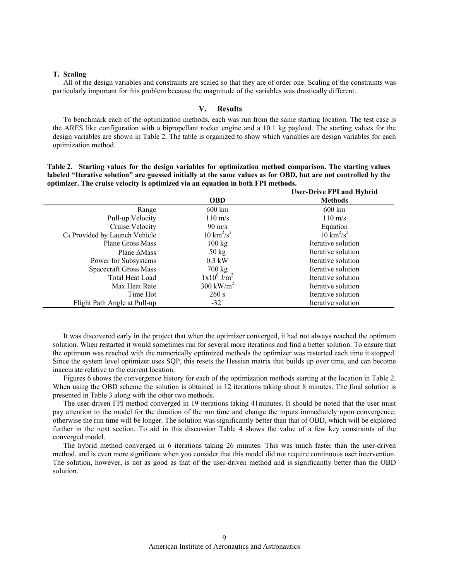#### **T. Scaling**

All of the design variables and constraints are scaled so that they are of order one. Scaling of the constraints was particularly important for this problem because the magnitude of the variables was drastically different.

## **V. Results**

To benchmark each of the optimization methods, each was run from the same starting location. The test case is the ARES like configuration with a bipropellant rocket engine and a 10.1 kg payload. The starting values for the design variables are shown in Table 2. The table is organized to show which variables are design variables for each optimization method.

**Table 2. Starting values for the design variables for optimization method comparison. The starting values labeled "Iterative solution" are guessed initially at the same values as for OBD, but are not controlled by the optimizer. The cruise velocity is optimized via an equation in both FPI methods. User-Drive FPI and Hybrid** 

|                                  |                              | User-Drive FPI and Hyprid    |
|----------------------------------|------------------------------|------------------------------|
|                                  | <b>OBD</b>                   | <b>Methods</b>               |
| Range                            | 600 km                       | $600 \text{ km}$             |
| Pull-up Velocity                 | $110 \text{ m/s}$            | $110 \text{ m/s}$            |
| Cruise Velocity                  | $90 \text{ m/s}$             | Equation                     |
| $C_3$ Provided by Launch Vehicle | $10 \text{ km}^2/\text{s}^2$ | $10 \text{ km}^2/\text{s}^2$ |
| Plane Gross Mass                 | $100 \text{ kg}$             | Iterative solution           |
| Plane $\triangle$ Mass           | $50 \text{ kg}$              | Iterative solution           |
| Power for Subsystems             | $0.3$ kW                     | Iterative solution           |
| Spacecraft Gross Mass            | $700 \text{ kg}$             | Iterative solution           |
| <b>Total Heat Load</b>           | $1x10^6$ J/m <sup>2</sup>    | Iterative solution           |
| Max Heat Rate                    | $300 \text{ kW/m}^2$         | Iterative solution           |
| Time Hot                         | 260 s                        | Iterative solution           |
| Flight Path Angle at Pull-up     | $-32^\circ$                  | Iterative solution           |

It was discovered early in the project that when the optimizer converged, it had not always reached the optimum solution. When restarted it would sometimes run for several more iterations and find a better solution. To ensure that the optimum was reached with the numerically optimized methods the optimizer was restarted each time it stopped. Since the system level optimizer uses SQP, this resets the Hessian matrix that builds up over time, and can become inaccurate relative to the current location.

Figures 6 shows the convergence history for each of the optimization methods starting at the location in Table 2. When using the OBD scheme the solution is obtained in 12 iterations taking about 8 minutes. The final solution is presented in Table 3 along with the other two methods.

The user-driven FPI method converged in 19 iterations taking 41minutes. It should be noted that the user must pay attention to the model for the duration of the run time and change the inputs immediately upon convergence; otherwise the run time will be longer. The solution was significantly better than that of OBD, which will be explored further in the next section. To aid in this discussion Table 4 shows the value of a few key constraints of the converged model.

The hybrid method converged in 6 iterations taking 26 minutes. This was much faster than the user-driven method, and is even more significant when you consider that this model did not require continuous user intervention. The solution, however, is not as good as that of the user-driven method and is significantly better than the OBD solution.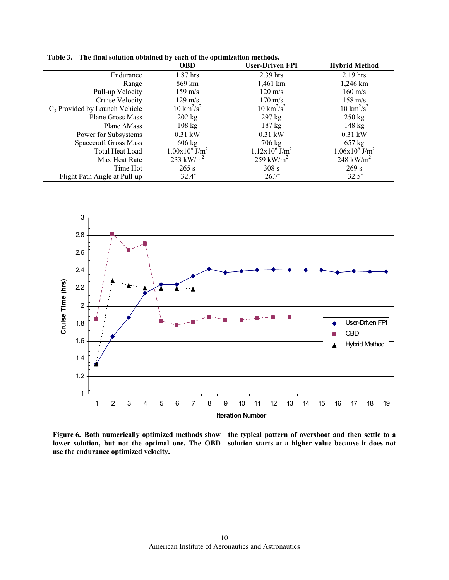|                                  | <b>OBD</b>                   | <b>User-Driven FPI</b>       | <b>Hybrid Method</b>           |
|----------------------------------|------------------------------|------------------------------|--------------------------------|
| Endurance                        | 1.87 hrs                     | $2.39$ hrs                   | $2.19$ hrs                     |
| Range                            | 869 km                       | 1,461 km                     | 1,246 km                       |
| Pull-up Velocity                 | $159 \text{ m/s}$            | $120 \text{ m/s}$            | $160 \text{ m/s}$              |
| Cruise Velocity                  | $129 \text{ m/s}$            | $170 \text{ m/s}$            | $158 \text{ m/s}$              |
| $C_3$ Provided by Launch Vehicle | $10 \text{ km}^2/\text{s}^2$ | $10 \text{ km}^2/\text{s}^2$ | $10 \text{ km}^2/\text{s}^2$   |
| <b>Plane Gross Mass</b>          | $202$ kg                     | $297$ kg                     | $250 \text{ kg}$               |
| Plane AMass                      | $108 \text{ kg}$             | $187$ kg                     | $148$ kg                       |
| Power for Subsystems             | $0.31$ kW                    | $0.31$ kW                    | $0.31$ kW                      |
| Spacecraft Gross Mass            | $606 \text{ kg}$             | $706 \text{ kg}$             | $657 \text{ kg}$               |
| <b>Total Heat Load</b>           | $1.00x10^6$ J/m <sup>2</sup> | $1.12x10^6$ J/m <sup>2</sup> | $1.06x10^{6}$ J/m <sup>2</sup> |
| Max Heat Rate                    | 233 kW/ $m2$                 | 259 kW/m <sup>2</sup>        | 248 kW/ $m2$                   |
| Time Hot                         | $265$ s                      | 308 s                        | 269 s                          |
| Flight Path Angle at Pull-up     | $-32.4^{\circ}$              | $-26.7^{\circ}$              | $-32.5^{\circ}$                |

**Table 3. The final solution obtained by each of the optimization methods.** 



**Figure 6. Both numerically optimized methods show the typical pattern of overshoot and then settle to a lower solution, but not the optimal one. The OBD solution starts at a higher value because it does not use the endurance optimized velocity.**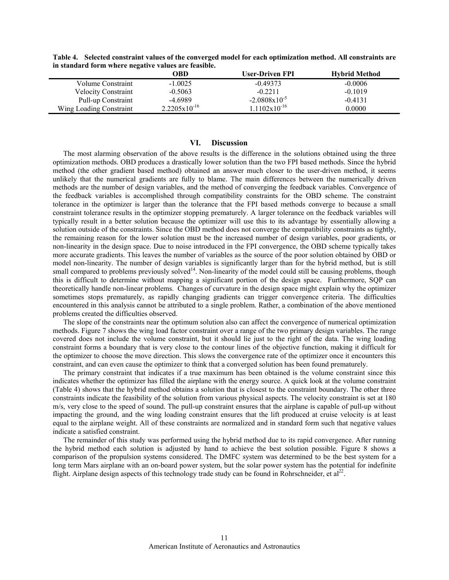|                            | OBD                      | <b>User-Driven FPI</b>   | <b>Hybrid Method</b> |
|----------------------------|--------------------------|--------------------------|----------------------|
| Volume Constraint          | $-1.0025$                | $-0.49373$               | $-0.0006$            |
| <b>Velocity Constraint</b> | $-0.5063$                | $-0.2211$                | $-0.1019$            |
| Pull-up Constraint         | -4.6989                  | $-2.0808 \times 10^{-5}$ | $-0.4131$            |
| Wing Loading Constraint    | $2.2205 \times 10^{-16}$ | $1.1102 \times 10^{-16}$ | 0.0000               |

**Table 4. Selected constraint values of the converged model for each optimization method. All constraints are in standard form where negative values are feasible.** 

## **VI. Discussion**

The most alarming observation of the above results is the difference in the solutions obtained using the three optimization methods. OBD produces a drastically lower solution than the two FPI based methods. Since the hybrid method (the other gradient based method) obtained an answer much closer to the user-driven method, it seems unlikely that the numerical gradients are fully to blame. The main differences between the numerically driven methods are the number of design variables, and the method of converging the feedback variables. Convergence of the feedback variables is accomplished through compatibility constraints for the OBD scheme. The constraint tolerance in the optimizer is larger than the tolerance that the FPI based methods converge to because a small constraint tolerance results in the optimizer stopping prematurely. A larger tolerance on the feedback variables will typically result in a better solution because the optimizer will use this to its advantage by essentially allowing a solution outside of the constraints. Since the OBD method does not converge the compatibility constraints as tightly, the remaining reason for the lower solution must be the increased number of design variables, poor gradients, or non-linearity in the design space. Due to noise introduced in the FPI convergence, the OBD scheme typically takes more accurate gradients. This leaves the number of variables as the source of the poor solution obtained by OBD or model non-linearity. The number of design variables is significantly larger than for the hybrid method, but is still small compared to problems previously solved<sup>14</sup>. Non-linearity of the model could still be causing problems, though this is difficult to determine without mapping a significant portion of the design space. Furthermore, SQP can theoretically handle non-linear problems. Changes of curvature in the design space might explain why the optimizer sometimes stops prematurely, as rapidly changing gradients can trigger convergence criteria. The difficulties encountered in this analysis cannot be attributed to a single problem. Rather, a combination of the above mentioned problems created the difficulties observed.

The slope of the constraints near the optimum solution also can affect the convergence of numerical optimization methods. Figure 7 shows the wing load factor constraint over a range of the two primary design variables. The range covered does not include the volume constraint, but it should lie just to the right of the data. The wing loading constraint forms a boundary that is very close to the contour lines of the objective function, making it difficult for the optimizer to choose the move direction. This slows the convergence rate of the optimizer once it encounters this constraint, and can even cause the optimizer to think that a converged solution has been found prematurely.

The primary constraint that indicates if a true maximum has been obtained is the volume constraint since this indicates whether the optimizer has filled the airplane with the energy source. A quick look at the volume constraint (Table 4) shows that the hybrid method obtains a solution that is closest to the constraint boundary. The other three constraints indicate the feasibility of the solution from various physical aspects. The velocity constraint is set at 180 m/s, very close to the speed of sound. The pull-up constraint ensures that the airplane is capable of pull-up without impacting the ground, and the wing loading constraint ensures that the lift produced at cruise velocity is at least equal to the airplane weight. All of these constraints are normalized and in standard form such that negative values indicate a satisfied constraint.

The remainder of this study was performed using the hybrid method due to its rapid convergence. After running the hybrid method each solution is adjusted by hand to achieve the best solution possible. Figure 8 shows a comparison of the propulsion systems considered. The DMFC system was determined to be the best system for a long term Mars airplane with an on-board power system, but the solar power system has the potential for indefinite flight. Airplane design aspects of this technology trade study can be found in Rohrschneider, et al<sup>22</sup>.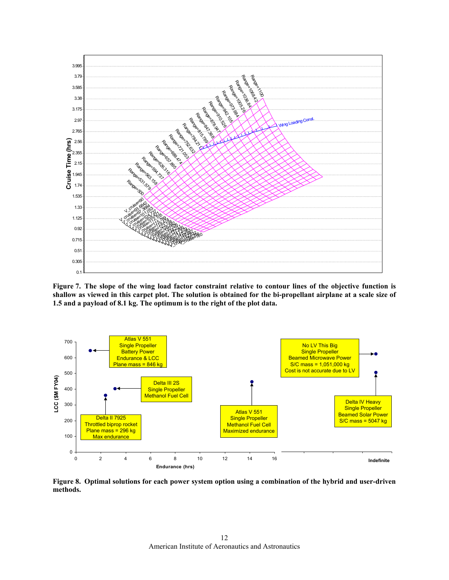

**Figure 7. The slope of the wing load factor constraint relative to contour lines of the objective function is shallow as viewed in this carpet plot. The solution is obtained for the bi-propellant airplane at a scale size of 1.5 and a payload of 8.1 kg. The optimum is to the right of the plot data.** 



**Figure 8. Optimal solutions for each power system option using a combination of the hybrid and user-driven methods.**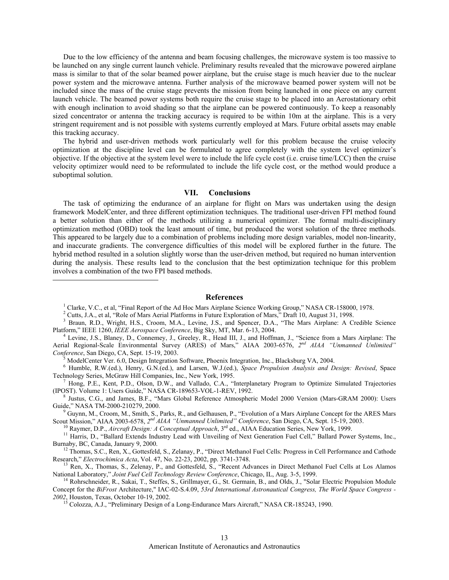Due to the low efficiency of the antenna and beam focusing challenges, the microwave system is too massive to be launched on any single current launch vehicle. Preliminary results revealed that the microwave powered airplane mass is similar to that of the solar beamed power airplane, but the cruise stage is much heavier due to the nuclear power system and the microwave antenna. Further analysis of the microwave beamed power system will not be included since the mass of the cruise stage prevents the mission from being launched in one piece on any current launch vehicle. The beamed power systems both require the cruise stage to be placed into an Aerostationary orbit with enough inclination to avoid shading so that the airplane can be powered continuously. To keep a reasonably sized concentrator or antenna the tracking accuracy is required to be within 10m at the airplane. This is a very stringent requirement and is not possible with systems currently employed at Mars. Future orbital assets may enable this tracking accuracy.

The hybrid and user-driven methods work particularly well for this problem because the cruise velocity optimization at the discipline level can be formulated to agree completely with the system level optimizer's objective. If the objective at the system level were to include the life cycle cost (i.e. cruise time/LCC) then the cruise velocity optimizer would need to be reformulated to include the life cycle cost, or the method would produce a suboptimal solution.

## **VII. Conclusions**

The task of optimizing the endurance of an airplane for flight on Mars was undertaken using the design framework ModelCenter, and three different optimization techniques. The traditional user-driven FPI method found a better solution than either of the methods utilizing a numerical optimizer. The formal multi-disciplinary optimization method (OBD) took the least amount of time, but produced the worst solution of the three methods. This appeared to be largely due to a combination of problems including more design variables, model non-linearity, and inaccurate gradients. The convergence difficulties of this model will be explored further in the future. The hybrid method resulted in a solution slightly worse than the user-driven method, but required no human intervention during the analysis. These results lead to the conclusion that the best optimization technique for this problem involves a combination of the two FPI based methods.

#### **References**

<sup>2</sup> Cutts, J.A., et al, "Role of Mars Aerial Platforms in Future Exploration of Mars," Draft 10, August 31, 1998.

- Braun, R.D., Wright, H.S., Croom, M.A., Levine, J.S., and Spencer, D.A., "The Mars Airplane: A Credible Science Platform," IEEE 1260, *IEEE Aerospace Conference*, Big Sky, MT, Mar. 6-13, 2004. 4
- Levine, J.S., Blaney, D., Connemey, J., Greeley, R., Head III, J., and Hoffman, J., "Science from a Mars Airplane: The Aerial Regional-Scale Environmental Survey (ARES) of Mars," AIAA 2003-6576, *2nd AIAA "Unmanned Unlimited" Conference*, San Diego, CA, Sept. 15-19, 2003.

ModelCenter Ver. 6.0, Design Integration Software, Phoenix Integration, Inc., Blacksburg VA, 2004.

 $\overline{\phantom{a}}$ 

 Humble, R.W.(ed.), Henry, G.N.(ed.), and Larsen, W.J.(ed.), *Space Propulsion Analysis and Design: Revised*, Space Technology Series, McGraw Hill Companies, Inc., New York, 1995. 7

 Hong, P.E., Kent, P.D., Olson, D.W., and Vallado, C.A., "Interplanetary Program to Optimize Simulated Trajectories (IPOST). Volume 1: Users Guide," NASA CR-189653-VOL-1-REV, 1992. 8

- Justus, C.G., and James, B.F., "Mars Global Reference Atmospheric Model 2000 Version (Mars-GRAM 2000): Users Guide," NASA TM-2000-210279, 2000.
- <sup>9</sup> Guynn, M., Croom, M., Smith, S., Parks, R., and Gelhausen, P., "Evolution of a Mars Airplane Concept for the ARES Mars Scout Mission," AIAA 2003-6578,  $2^{nd}$  AIAA "Unmanned Unlimited" Conference, San Diego, CA, Sept.

<sup>10</sup> Raymer, D.P., *Aircraft Design: A Conceptual Approach*, 3<sup>rd</sup> ed., AIAA Education Series, New York, 1999.<br><sup>11</sup> Harris, D., "Ballard Extends Industry Lead with Unveiling of Next Generation Fuel Cell," Ballard Power Sys

<sup>&</sup>lt;sup>1</sup> Clarke, V.C., et al, "Final Report of the Ad Hoc Mars Airplane Science Working Group," NASA CR-158000, 1978.

<sup>&</sup>lt;sup>12</sup> Thomas, S.C., Ren, X., Gottesfeld, S., Zelanay, P., "Direct Methanol Fuel Cells: Progress in Cell Performance and Cathode Research," *Electrochimica Acta*, Vol. 47, No. 22-23, 2002, pp. 3741-3748.

<sup>&</sup>lt;sup>13</sup> Ren, X., Thomas, S., Zelenay, P., and Gottesfeld, S., "Recent Advances in Direct Methanol Fuel Cells at Los Alamos National Laboratory," Joint Fuel Cell Technology Review Conference, Chicago, IL, Aug. 3-5, 1999.<br><sup>14</sup> Rohrschneider, R., Sakai, T., Steffes, S., Grillmayer, G., St. Germain, B., and Olds, J., "Solar Electric Propulsion Mod

Concept for the *BiFrost* Architecture," IAC-02-S.4.09, *53rd International Astronautical Congress, The World Space Congress -*

<sup>&</sup>lt;sup>13</sup> Colozza, A.J., "Preliminary Design of a Long-Endurance Mars Aircraft," NASA CR-185243, 1990.